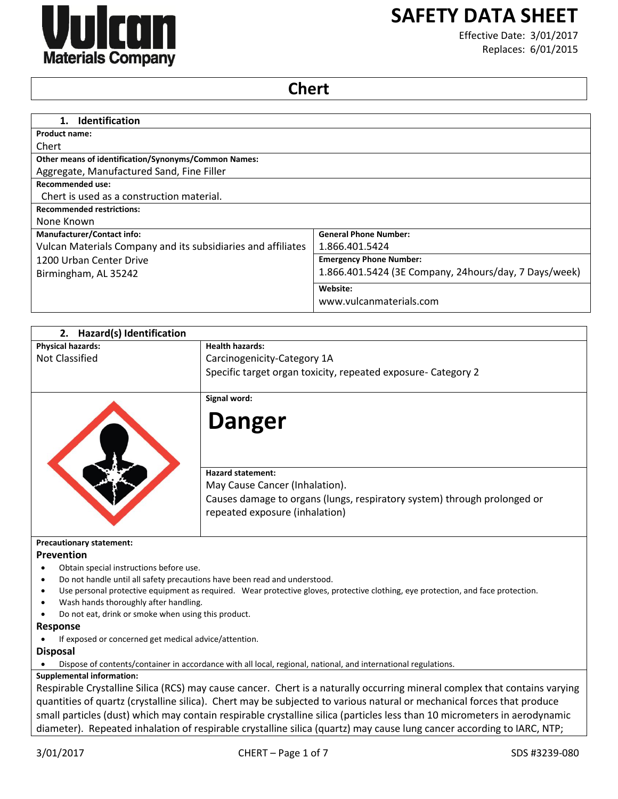

# **SAFETY DATA SHEET**

Effective Date: 3/01/2017 Replaces: 6/01/2015

# **Chert**

| <b>Identification</b><br>1.                                  |                                                       |
|--------------------------------------------------------------|-------------------------------------------------------|
| <b>Product name:</b>                                         |                                                       |
| Chert                                                        |                                                       |
| <b>Other means of identification/Synonyms/Common Names:</b>  |                                                       |
| Aggregate, Manufactured Sand, Fine Filler                    |                                                       |
| <b>Recommended use:</b>                                      |                                                       |
| Chert is used as a construction material.                    |                                                       |
| <b>Recommended restrictions:</b>                             |                                                       |
| None Known                                                   |                                                       |
| <b>Manufacturer/Contact info:</b>                            | <b>General Phone Number:</b>                          |
| Vulcan Materials Company and its subsidiaries and affiliates | 1.866.401.5424                                        |
| 1200 Urban Center Drive                                      | <b>Emergency Phone Number:</b>                        |
| Birmingham, AL 35242                                         | 1.866.401.5424 (3E Company, 24hours/day, 7 Days/week) |
|                                                              | Website:                                              |
|                                                              | www.vulcanmaterials.com                               |

| 2. Hazard(s) Identification                   |                                                                                                                                                                                                                                                                          |
|-----------------------------------------------|--------------------------------------------------------------------------------------------------------------------------------------------------------------------------------------------------------------------------------------------------------------------------|
| <b>Physical hazards:</b>                      | <b>Health hazards:</b>                                                                                                                                                                                                                                                   |
| Not Classified                                | Carcinogenicity-Category 1A                                                                                                                                                                                                                                              |
|                                               | Specific target organ toxicity, repeated exposure- Category 2                                                                                                                                                                                                            |
|                                               | Signal word:                                                                                                                                                                                                                                                             |
|                                               | <b>Danger</b>                                                                                                                                                                                                                                                            |
|                                               | <b>Hazard statement:</b><br>May Cause Cancer (Inhalation).                                                                                                                                                                                                               |
|                                               | Causes damage to organs (lungs, respiratory system) through prolonged or<br>repeated exposure (inhalation)                                                                                                                                                               |
| <b>Precautionary statement:</b><br>Prevention |                                                                                                                                                                                                                                                                          |
| Obtain special instructions before use.       |                                                                                                                                                                                                                                                                          |
|                                               | Do not handle until all safety precautions have been read and understood.                                                                                                                                                                                                |
|                                               | Use personal protective equipment as required. Wear protective gloves, protective clothing, eye protection, and face protection.                                                                                                                                         |
| Wash hands thoroughly after handling.         |                                                                                                                                                                                                                                                                          |
|                                               | Do not eat, drink or smoke when using this product.                                                                                                                                                                                                                      |
| Response                                      |                                                                                                                                                                                                                                                                          |
|                                               | If exposed or concerned get medical advice/attention.                                                                                                                                                                                                                    |
| <b>Disposal</b>                               |                                                                                                                                                                                                                                                                          |
|                                               | Dispose of contents/container in accordance with all local, regional, national, and international regulations.                                                                                                                                                           |
| <b>Supplemental information:</b>              |                                                                                                                                                                                                                                                                          |
|                                               | Respirable Crystalline Silica (RCS) may cause cancer. Chert is a naturally occurring mineral complex that contains varying                                                                                                                                               |
|                                               | quantities of quartz (crystalline silica). Chert may be subjected to various natural or mechanical forces that produce                                                                                                                                                   |
|                                               | $\mathbf{u} \cdot \mathbf{u} = \mathbf{u} \cdot \mathbf{u} + \mathbf{u} \cdot \mathbf{u}$ , and the set of the set of the set of the set of the set of the set of the set of the set of the set of the set of the set of the set of the set of the set of the set of the |

small particles (dust) which may contain respirable crystalline silica (particles less than 10 micrometers in aerodynamic diameter). Repeated inhalation of respirable crystalline silica (quartz) may cause lung cancer according to IARC, NTP;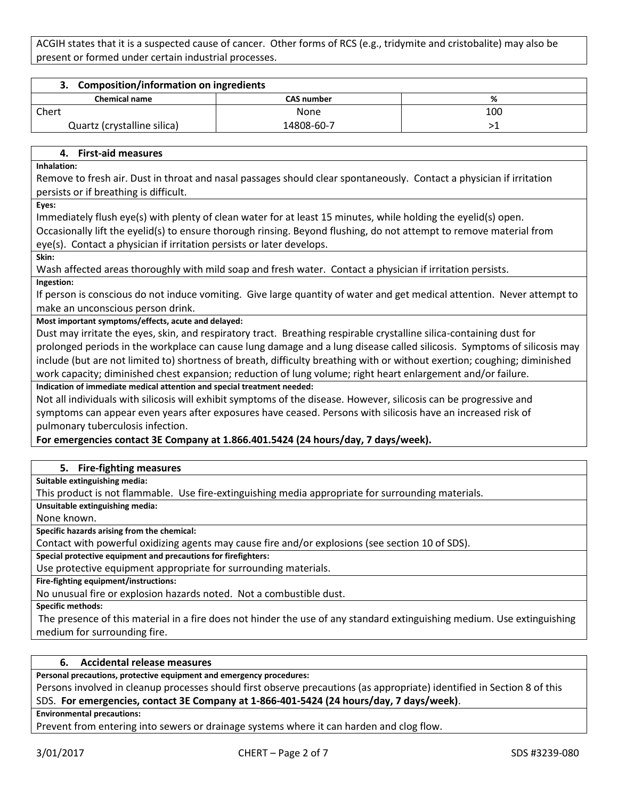ACGIH states that it is a suspected cause of cancer. Other forms of RCS (e.g., tridymite and cristobalite) may also be present or formed under certain industrial processes.

| <b>Composition/information on ingredients</b> |            |     |
|-----------------------------------------------|------------|-----|
| <b>Chemical name</b>                          | CAS number | %   |
| Chert                                         | None       | 100 |
| Quartz (crystalline silica)                   | 14808-60-7 |     |

#### **4. First-aid measures**

**Inhalation:**

Remove to fresh air. Dust in throat and nasal passages should clear spontaneously. Contact a physician if irritation persists or if breathing is difficult.

**Eyes:**

Immediately flush eye(s) with plenty of clean water for at least 15 minutes, while holding the eyelid(s) open.

Occasionally lift the eyelid(s) to ensure thorough rinsing. Beyond flushing, do not attempt to remove material from eye(s). Contact a physician if irritation persists or later develops.

**Skin:**

Wash affected areas thoroughly with mild soap and fresh water. Contact a physician if irritation persists.

**Ingestion:**

If person is conscious do not induce vomiting. Give large quantity of water and get medical attention. Never attempt to make an unconscious person drink.

**Most important symptoms/effects, acute and delayed:**

Dust may irritate the eyes, skin, and respiratory tract. Breathing respirable crystalline silica-containing dust for prolonged periods in the workplace can cause lung damage and a lung disease called silicosis. Symptoms of silicosis may include (but are not limited to) shortness of breath, difficulty breathing with or without exertion; coughing; diminished work capacity; diminished chest expansion; reduction of lung volume; right heart enlargement and/or failure.

**Indication of immediate medical attention and special treatment needed:**

Not all individuals with silicosis will exhibit symptoms of the disease. However, silicosis can be progressive and symptoms can appear even years after exposures have ceased. Persons with silicosis have an increased risk of pulmonary tuberculosis infection.

# **For emergencies contact 3E Company at 1.866.401.5424 (24 hours/day, 7 days/week).**

# **5. Fire-fighting measures**

**Suitable extinguishing media:**

This product is not flammable. Use fire-extinguishing media appropriate for surrounding materials.

**Unsuitable extinguishing media:**

None known.

**Specific hazards arising from the chemical:**

Contact with powerful oxidizing agents may cause fire and/or explosions (see section 10 of SDS).

**Special protective equipment and precautions for firefighters:**

Use protective equipment appropriate for surrounding materials.

**Fire-fighting equipment/instructions:**

No unusual fire or explosion hazards noted. Not a combustible dust.

**Specific methods:**

The presence of this material in a fire does not hinder the use of any standard extinguishing medium. Use extinguishing medium for surrounding fire.

#### **6. Accidental release measures**

**Personal precautions, protective equipment and emergency procedures:**

Persons involved in cleanup processes should first observe precautions (as appropriate) identified in Section 8 of this SDS. **For emergencies, contact 3E Company at 1-866-401-5424 (24 hours/day, 7 days/week)**.

**Environmental precautions:**

Prevent from entering into sewers or drainage systems where it can harden and clog flow.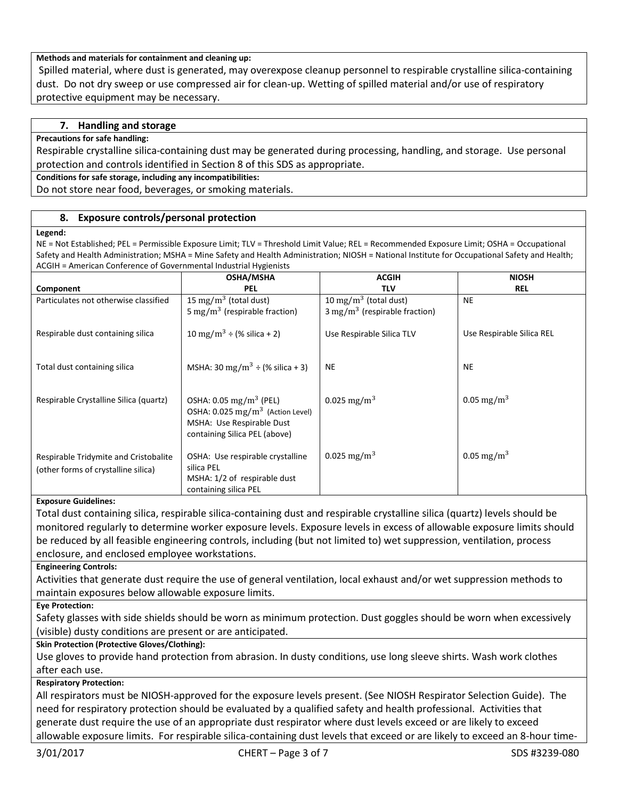# **Methods and materials for containment and cleaning up:**

Spilled material, where dust is generated, may overexpose cleanup personnel to respirable crystalline silica-containing dust. Do not dry sweep or use compressed air for clean-up. Wetting of spilled material and/or use of respiratory protective equipment may be necessary.

# **7. Handling and storage**

#### **Precautions for safe handling:**

Respirable crystalline silica-containing dust may be generated during processing, handling, and storage. Use personal protection and controls identified in Section 8 of this SDS as appropriate.

**Conditions for safe storage, including any incompatibilities:**

Do not store near food, beverages, or smoking materials.

# **8. Exposure controls/personal protection**

#### **Legend:**

NE = Not Established; PEL = Permissible Exposure Limit; TLV = Threshold Limit Value; REL = Recommended Exposure Limit; OSHA = Occupational Safety and Health Administration; MSHA = Mine Safety and Health Administration; NIOSH = National Institute for Occupational Safety and Health; ACGIH = American Conference of Governmental Industrial Hygienists

|                                                                              | <b>OSHA/MSHA</b>                                                                                                                                  | <b>ACGIH</b>                             | <b>NIOSH</b>              |
|------------------------------------------------------------------------------|---------------------------------------------------------------------------------------------------------------------------------------------------|------------------------------------------|---------------------------|
| Component                                                                    | <b>PEL</b>                                                                                                                                        | TLV                                      | <b>REL</b>                |
| Particulates not otherwise classified                                        | 15 mg/m <sup>3</sup> (total dust)                                                                                                                 | 10 mg/m <sup>3</sup> (total dust)        | <b>NE</b>                 |
|                                                                              | 5 mg/m <sup>3</sup> (respirable fraction)                                                                                                         | $3 \text{ mg/m}^3$ (respirable fraction) |                           |
| Respirable dust containing silica                                            | 10 mg/m <sup>3</sup> ÷ (% silica + 2)                                                                                                             | Use Respirable Silica TLV                | Use Respirable Silica REL |
| Total dust containing silica                                                 | MSHA: 30 mg/m <sup>3</sup> ÷ (% silica + 3)                                                                                                       | <b>NE</b>                                | <b>NE</b>                 |
| Respirable Crystalline Silica (quartz)                                       | OSHA: $0.05 \text{ mg/m}^3$ (PEL)<br>OSHA: $0.025$ mg/m <sup>3</sup> (Action Level)<br>MSHA: Use Respirable Dust<br>containing Silica PEL (above) | 0.025 mg/m <sup>3</sup>                  | 0.05 mg/m <sup>3</sup>    |
| Respirable Tridymite and Cristobalite<br>(other forms of crystalline silica) | OSHA: Use respirable crystalline<br>silica PEL<br>MSHA: 1/2 of respirable dust<br>containing silica PEL                                           | 0.025 mg/m <sup>3</sup>                  | $0.05 \,\mathrm{mg/m^3}$  |

# **Exposure Guidelines:**

Total dust containing silica, respirable silica-containing dust and respirable crystalline silica (quartz) levels should be monitored regularly to determine worker exposure levels. Exposure levels in excess of allowable exposure limits should be reduced by all feasible engineering controls, including (but not limited to) wet suppression, ventilation, process enclosure, and enclosed employee workstations.

#### **Engineering Controls:**

Activities that generate dust require the use of general ventilation, local exhaust and/or wet suppression methods to maintain exposures below allowable exposure limits.

**Eye Protection:**

Safety glasses with side shields should be worn as minimum protection. Dust goggles should be worn when excessively (visible) dusty conditions are present or are anticipated.

# **Skin Protection (Protective Gloves/Clothing):**

Use gloves to provide hand protection from abrasion. In dusty conditions, use long sleeve shirts. Wash work clothes after each use.

# **Respiratory Protection:**

All respirators must be NIOSH-approved for the exposure levels present. (See NIOSH Respirator Selection Guide). The need for respiratory protection should be evaluated by a qualified safety and health professional. Activities that generate dust require the use of an appropriate dust respirator where dust levels exceed or are likely to exceed allowable exposure limits. For respirable silica-containing dust levels that exceed or are likely to exceed an 8-hour time-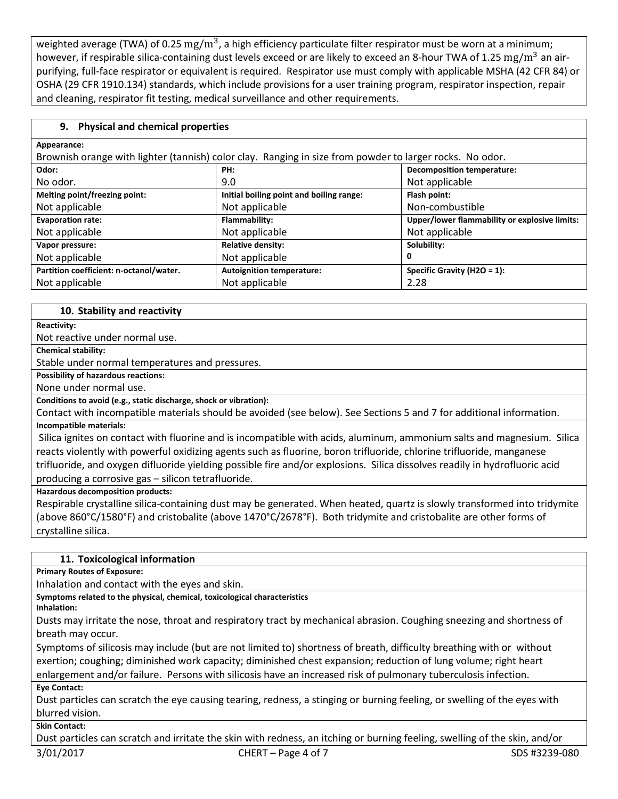weighted average (TWA) of 0.25  $\rm mg/m^3$ , a high efficiency particulate filter respirator must be worn at a minimum; however, if respirable silica-containing dust levels exceed or are likely to exceed an 8-hour TWA of 1.25 mg/m<sup>3</sup> an airpurifying, full-face respirator or equivalent is required. Respirator use must comply with applicable MSHA (42 CFR 84) or OSHA (29 CFR 1910.134) standards, which include provisions for a user training program, respirator inspection, repair and cleaning, respirator fit testing, medical surveillance and other requirements.

# **9. Physical and chemical properties**

| Appearance:                                                                                              |                                          |                                               |  |  |
|----------------------------------------------------------------------------------------------------------|------------------------------------------|-----------------------------------------------|--|--|
| Brownish orange with lighter (tannish) color clay. Ranging in size from powder to larger rocks. No odor. |                                          |                                               |  |  |
| Odor:                                                                                                    | PH:                                      | <b>Decomposition temperature:</b>             |  |  |
| No odor.                                                                                                 | 9.0                                      | Not applicable                                |  |  |
| Melting point/freezing point:                                                                            | Initial boiling point and boiling range: | Flash point:                                  |  |  |
| Not applicable                                                                                           | Not applicable                           | Non-combustible                               |  |  |
| <b>Evaporation rate:</b>                                                                                 | Flammability:                            | Upper/lower flammability or explosive limits: |  |  |
| Not applicable                                                                                           | Not applicable                           | Not applicable                                |  |  |
| Vapor pressure:                                                                                          | <b>Relative density:</b>                 | Solubility:                                   |  |  |
| Not applicable                                                                                           | Not applicable                           | 0                                             |  |  |
| Partition coefficient: n-octanol/water.                                                                  | <b>Autoignition temperature:</b>         | Specific Gravity (H2O = $1$ ):                |  |  |
| Not applicable                                                                                           | Not applicable                           | 2.28                                          |  |  |

# **10. Stability and reactivity**

**Reactivity:** Not reactive under normal use. **Chemical stability:** Stable under normal temperatures and pressures. **Possibility of hazardous reactions:** None under normal use. **Conditions to avoid (e.g., static discharge, shock or vibration):** Contact with incompatible materials should be avoided (see below). See Sections 5 and 7 for additional information. **Incompatible materials:** Silica ignites on contact with fluorine and is incompatible with acids, aluminum, ammonium salts and magnesium. Silica reacts violently with powerful oxidizing agents such as fluorine, boron trifluoride, chlorine trifluoride, manganese

trifluoride, and oxygen difluoride yielding possible fire and/or explosions. Silica dissolves readily in hydrofluoric acid producing a corrosive gas – silicon tetrafluoride.

**Hazardous decomposition products:**

Respirable crystalline silica-containing dust may be generated. When heated, quartz is slowly transformed into tridymite (above 860°C/1580°F) and cristobalite (above 1470°C/2678°F). Both tridymite and cristobalite are other forms of crystalline silica.

# **11. Toxicological information**

**Primary Routes of Exposure:**

Inhalation and contact with the eyes and skin.

**Symptoms related to the physical, chemical, toxicological characteristics**

**Inhalation:**

Dusts may irritate the nose, throat and respiratory tract by mechanical abrasion. Coughing sneezing and shortness of breath may occur.

Symptoms of silicosis may include (but are not limited to) shortness of breath, difficulty breathing with or without exertion; coughing; diminished work capacity; diminished chest expansion; reduction of lung volume; right heart enlargement and/or failure. Persons with silicosis have an increased risk of pulmonary tuberculosis infection.

**Eye Contact:**

Dust particles can scratch the eye causing tearing, redness, a stinging or burning feeling, or swelling of the eyes with blurred vision.

**Skin Contact:**

Dust particles can scratch and irritate the skin with redness, an itching or burning feeling, swelling of the skin, and/or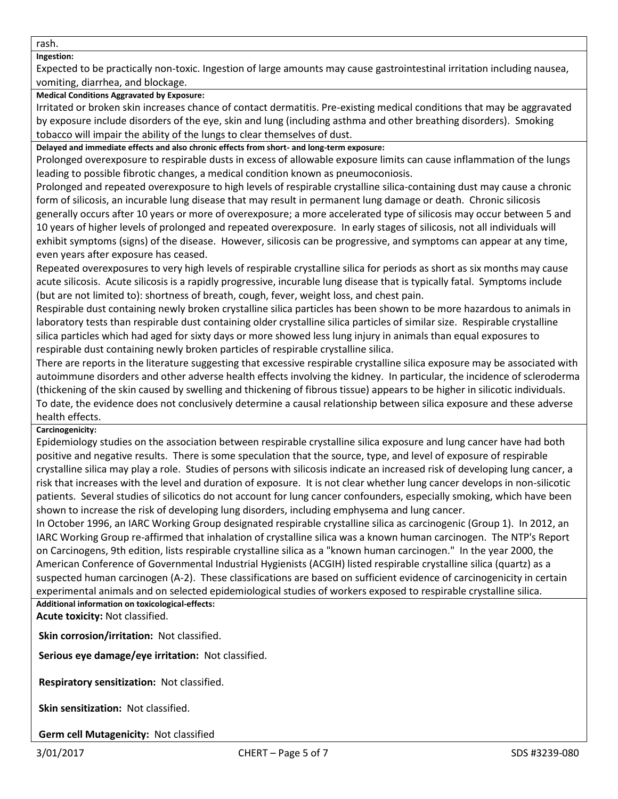rash.

# **Ingestion:**

Expected to be practically non-toxic. Ingestion of large amounts may cause gastrointestinal irritation including nausea, vomiting, diarrhea, and blockage.

# **Medical Conditions Aggravated by Exposure:**

Irritated or broken skin increases chance of contact dermatitis. Pre-existing medical conditions that may be aggravated by exposure include disorders of the eye, skin and lung (including asthma and other breathing disorders). Smoking tobacco will impair the ability of the lungs to clear themselves of dust.

**Delayed and immediate effects and also chronic effects from short- and long-term exposure:**

Prolonged overexposure to respirable dusts in excess of allowable exposure limits can cause inflammation of the lungs leading to possible fibrotic changes, a medical condition known as pneumoconiosis.

Prolonged and repeated overexposure to high levels of respirable crystalline silica-containing dust may cause a chronic form of silicosis, an incurable lung disease that may result in permanent lung damage or death. Chronic silicosis generally occurs after 10 years or more of overexposure; a more accelerated type of silicosis may occur between 5 and 10 years of higher levels of prolonged and repeated overexposure. In early stages of silicosis, not all individuals will exhibit symptoms (signs) of the disease. However, silicosis can be progressive, and symptoms can appear at any time, even years after exposure has ceased.

Repeated overexposures to very high levels of respirable crystalline silica for periods as short as six months may cause acute silicosis. Acute silicosis is a rapidly progressive, incurable lung disease that is typically fatal. Symptoms include (but are not limited to): shortness of breath, cough, fever, weight loss, and chest pain.

Respirable dust containing newly broken crystalline silica particles has been shown to be more hazardous to animals in laboratory tests than respirable dust containing older crystalline silica particles of similar size. Respirable crystalline silica particles which had aged for sixty days or more showed less lung injury in animals than equal exposures to respirable dust containing newly broken particles of respirable crystalline silica.

There are reports in the literature suggesting that excessive respirable crystalline silica exposure may be associated with autoimmune disorders and other adverse health effects involving the kidney. In particular, the incidence of scleroderma (thickening of the skin caused by swelling and thickening of fibrous tissue) appears to be higher in silicotic individuals. To date, the evidence does not conclusively determine a causal relationship between silica exposure and these adverse health effects.

# **Carcinogenicity:**

Epidemiology studies on the association between respirable crystalline silica exposure and lung cancer have had both positive and negative results. There is some speculation that the source, type, and level of exposure of respirable crystalline silica may play a role. Studies of persons with silicosis indicate an increased risk of developing lung cancer, a risk that increases with the level and duration of exposure. It is not clear whether lung cancer develops in non-silicotic patients. Several studies of silicotics do not account for lung cancer confounders, especially smoking, which have been shown to increase the risk of developing lung disorders, including emphysema and lung cancer.

In October 1996, an IARC Working Group designated respirable crystalline silica as carcinogenic (Group 1). In 2012, an IARC Working Group re-affirmed that inhalation of crystalline silica was a known human carcinogen. The NTP's Report on Carcinogens, 9th edition, lists respirable crystalline silica as a "known human carcinogen." In the year 2000, the American Conference of Governmental Industrial Hygienists (ACGIH) listed respirable crystalline silica (quartz) as a suspected human carcinogen (A-2). These classifications are based on sufficient evidence of carcinogenicity in certain experimental animals and on selected epidemiological studies of workers exposed to respirable crystalline silica. **Additional information on toxicological-effects:**

**Acute toxicity:** Not classified.

**Skin corrosion/irritation:** Not classified.

**Serious eye damage/eye irritation:** Not classified.

**Respiratory sensitization:** Not classified.

**Skin sensitization:** Not classified.

**Germ cell Mutagenicity:** Not classified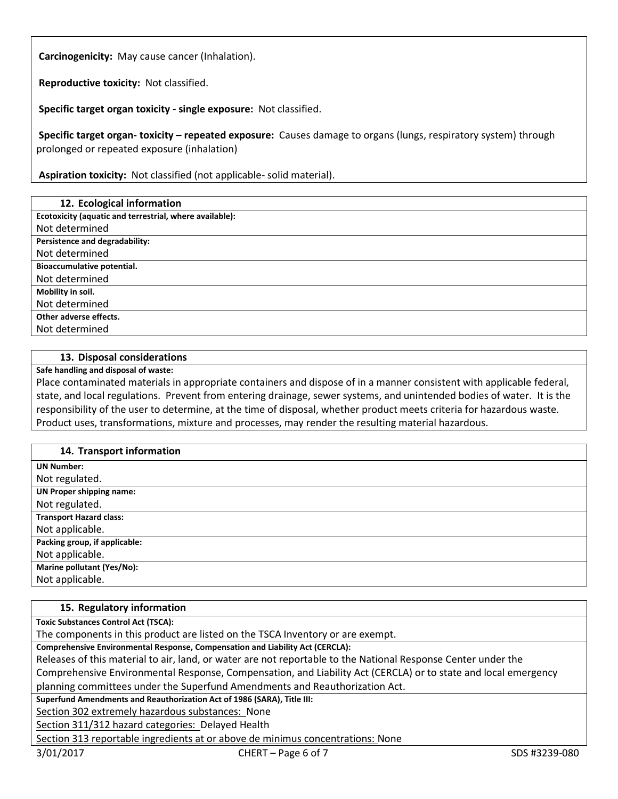**Carcinogenicity:** May cause cancer (Inhalation).

**Reproductive toxicity:** Not classified.

**Specific target organ toxicity - single exposure:** Not classified.

**Specific target organ- toxicity – repeated exposure:** Causes damage to organs (lungs, respiratory system) through prolonged or repeated exposure (inhalation)

**Aspiration toxicity:** Not classified (not applicable- solid material).

# **12. Ecological information**

**Ecotoxicity (aquatic and terrestrial, where available):**

Not determined **Persistence and degradability:**

Not determined

**Bioaccumulative potential.**

Not determined

**Mobility in soil.**

Not determined

**Other adverse effects.**

Not determined

# **13. Disposal considerations**

**Safe handling and disposal of waste:**

Place contaminated materials in appropriate containers and dispose of in a manner consistent with applicable federal, state, and local regulations. Prevent from entering drainage, sewer systems, and unintended bodies of water. It is the responsibility of the user to determine, at the time of disposal, whether product meets criteria for hazardous waste. Product uses, transformations, mixture and processes, may render the resulting material hazardous.

# **14. Transport information**

| 27.1191090111101110100111       |
|---------------------------------|
| <b>UN Number:</b>               |
| Not regulated.                  |
| <b>UN Proper shipping name:</b> |
| Not regulated.                  |
| <b>Transport Hazard class:</b>  |
| Not applicable.                 |
| Packing group, if applicable:   |
| Not applicable.                 |
| Marine pollutant (Yes/No):      |
| Not applicable.                 |

# **15. Regulatory information**

**Toxic Substances Control Act (TSCA):**

The components in this product are listed on the TSCA Inventory or are exempt.

**Comprehensive Environmental Response, Compensation and Liability Act (CERCLA):**

Releases of this material to air, land, or water are not reportable to the National Response Center under the

Comprehensive Environmental Response, Compensation, and Liability Act (CERCLA) or to state and local emergency planning committees under the Superfund Amendments and Reauthorization Act.

**Superfund Amendments and Reauthorization Act of 1986 (SARA), Title III:**

Section 302 extremely hazardous substances: None

Section 311/312 hazard categories: Delayed Health

Section 313 reportable ingredients at or above de minimus concentrations: None